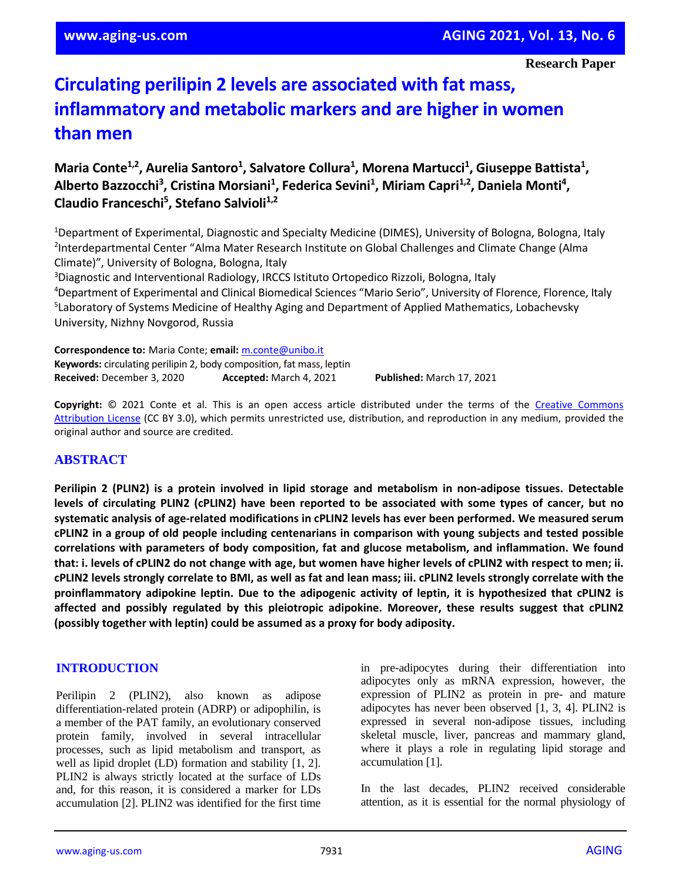# **Circulating perilipin 2 levels are associated with fat mass, inflammatory and metabolic markers and are higher in women than men**

**Maria Conte<sup>1,2</sup>, Aurelia Santoro<sup>1</sup>, Salvatore Collura<sup>1</sup>, Morena Martucci<sup>1</sup>, Giuseppe Battista<sup>1</sup>, Alberto Bazzocchi<sup>3</sup> , Cristina Morsiani<sup>1</sup> , Federica Sevini<sup>1</sup> , Miriam Capri1,2, Daniela Monti<sup>4</sup> , Claudio Franceschi<sup>5</sup> , Stefano Salvioli1,2**

<sup>1</sup>Department of Experimental, Diagnostic and Specialty Medicine (DIMES), University of Bologna, Bologna, Italy 2 Interdepartmental Center "Alma Mater Research Institute on Global Challenges and Climate Change (Alma Climate)", University of Bologna, Bologna, Italy

<sup>3</sup>Diagnostic and Interventional Radiology, IRCCS Istituto Ortopedico Rizzoli, Bologna, Italy <sup>4</sup>Department of Experimental and Clinical Biomedical Sciences "Mario Serio", University of Florence, Florence, Italy 5 Laboratory of Systems Medicine of Healthy Aging and Department of Applied Mathematics, Lobachevsky University, Nizhny Novgorod, Russia

**Correspondence to:** Maria Conte; **email:** [m.conte@unibo.it](mailto:m.conte@unibo.it) **Keywords:** circulating perilipin 2, body composition, fat mass, leptin **Received:** December 3, 2020 **Accepted:** March 4, 2021 **Published:** March 17, 2021

**Copyright:** © 2021 Conte et al. This is an open access article distributed under the terms of the [Creative Commons](https://creativecommons.org/licenses/by/3.0/)  [Attribution License](https://creativecommons.org/licenses/by/3.0/) (CC BY 3.0), which permits unrestricted use, distribution, and reproduction in any medium, provided the original author and source are credited.

# **ABSTRACT**

**Perilipin 2 (PLIN2) is a protein involved in lipid storage and metabolism in non-adipose tissues. Detectable** levels of circulating PLIN2 (cPLIN2) have been reported to be associated with some types of cancer, but no **systematic analysis of age-related modifications in cPLIN2 levels has ever been performed. We measured serum** cPLIN2 in a group of old people including centenarians in comparison with young subjects and tested possible **correlations with parameters of body composition, fat and glucose metabolism, and inflammation. We found** that: i. levels of cPLIN2 do not change with age, but women have higher levels of cPLIN2 with respect to men; ii. CPLIN2 levels strongly correlate to BMI, as well as fat and lean mass; iii. CPLIN2 levels strongly correlate with the **proinflammatory adipokine leptin. Due to the adipogenic activity of leptin, it is hypothesized that cPLIN2 is affected and possibly regulated by this pleiotropic adipokine. Moreover, these results suggest that cPLIN2 (possibly together with leptin) could be assumed as a proxy for body adiposity.**

#### **INTRODUCTION**

Perilipin 2 (PLIN2), also known as adipose differentiation-related protein (ADRP) or adipophilin, is a member of the PAT family, an evolutionary conserved protein family, involved in several intracellular processes, such as lipid metabolism and transport, as well as lipid droplet (LD) formation and stability [1, 2]. PLIN2 is always strictly located at the surface of LDs and, for this reason, it is considered a marker for LDs accumulation [2]. PLIN2 was identified for the first time in pre-adipocytes during their differentiation into adipocytes only as mRNA expression, however, the expression of PLIN2 as protein in pre- and mature adipocytes has never been observed [1, 3, 4]. PLIN2 is expressed in several non-adipose tissues, including skeletal muscle, liver, pancreas and mammary gland, where it plays a role in regulating lipid storage and accumulation [1].

In the last decades, PLIN2 received considerable attention, as it is essential for the normal physiology of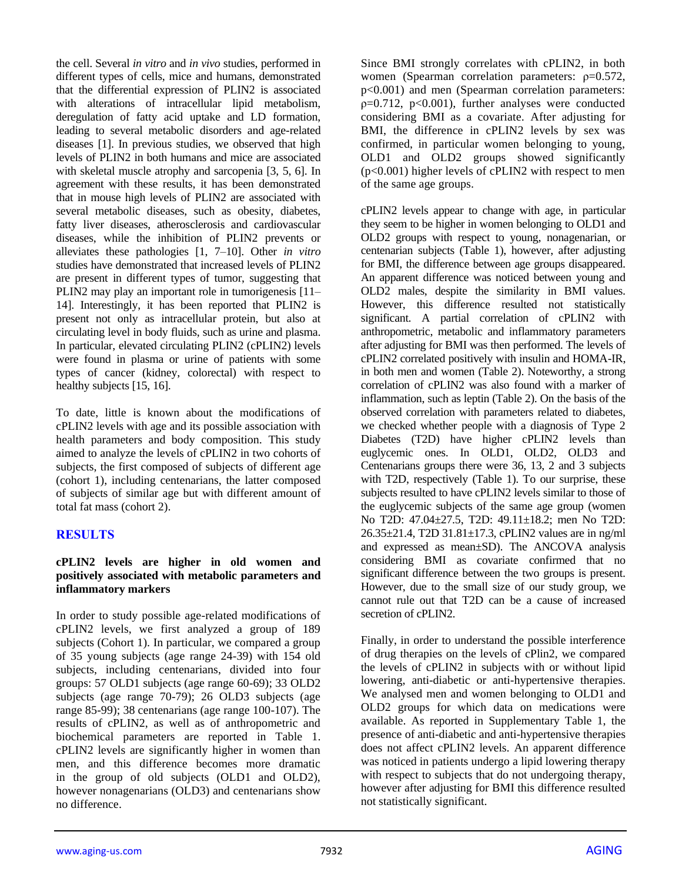the cell. Several *in vitro* and *in vivo* studies, performed in different types of cells, mice and humans, demonstrated that the differential expression of PLIN2 is associated with alterations of intracellular lipid metabolism, deregulation of fatty acid uptake and LD formation, leading to several metabolic disorders and age-related diseases [1]. In previous studies, we observed that high levels of PLIN2 in both humans and mice are associated with skeletal muscle atrophy and sarcopenia [3, 5, 6]. In agreement with these results, it has been demonstrated that in mouse high levels of PLIN2 are associated with several metabolic diseases, such as obesity, diabetes, fatty liver diseases, atherosclerosis and cardiovascular diseases, while the inhibition of PLIN2 prevents or alleviates these pathologies [1, 7–10]. Other *in vitro* studies have demonstrated that increased levels of PLIN2 are present in different types of tumor, suggesting that PLIN2 may play an important role in tumorigenesis [11– 14]. Interestingly, it has been reported that PLIN2 is present not only as intracellular protein, but also at circulating level in body fluids, such as urine and plasma. In particular, elevated circulating PLIN2 (cPLIN2) levels were found in plasma or urine of patients with some types of cancer (kidney, colorectal) with respect to healthy subjects [15, 16].

To date, little is known about the modifications of cPLIN2 levels with age and its possible association with health parameters and body composition. This study aimed to analyze the levels of cPLIN2 in two cohorts of subjects, the first composed of subjects of different age (cohort 1), including centenarians, the latter composed of subjects of similar age but with different amount of total fat mass (cohort 2).

# **RESULTS**

#### **cPLIN2 levels are higher in old women and positively associated with metabolic parameters and inflammatory markers**

In order to study possible age-related modifications of cPLIN2 levels, we first analyzed a group of 189 subjects (Cohort 1). In particular, we compared a group of 35 young subjects (age range 24-39) with 154 old subjects, including centenarians, divided into four groups: 57 OLD1 subjects (age range 60-69); 33 OLD2 subjects (age range 70-79); 26 OLD3 subjects (age range 85-99); 38 centenarians (age range 100-107). The results of cPLIN2, as well as of anthropometric and biochemical parameters are reported in Table 1. cPLIN2 levels are significantly higher in women than men, and this difference becomes more dramatic in the group of old subjects (OLD1 and OLD2), however nonagenarians (OLD3) and centenarians show no difference.

Since BMI strongly correlates with cPLIN2, in both women (Spearman correlation parameters: ρ=0.572, p<0.001) and men (Spearman correlation parameters:  $p=0.712$ ,  $p<0.001$ ), further analyses were conducted considering BMI as a covariate. After adjusting for BMI, the difference in cPLIN2 levels by sex was confirmed, in particular women belonging to young, OLD1 and OLD2 groups showed significantly (p<0.001) higher levels of cPLIN2 with respect to men of the same age groups.

cPLIN2 levels appear to change with age, in particular they seem to be higher in women belonging to OLD1 and OLD2 groups with respect to young, nonagenarian, or centenarian subjects (Table 1), however, after adjusting for BMI, the difference between age groups disappeared. An apparent difference was noticed between young and OLD2 males, despite the similarity in BMI values. However, this difference resulted not statistically significant. A partial correlation of cPLIN2 with anthropometric, metabolic and inflammatory parameters after adjusting for BMI was then performed. The levels of cPLIN2 correlated positively with insulin and HOMA-IR, in both men and women (Table 2). Noteworthy, a strong correlation of cPLIN2 was also found with a marker of inflammation, such as leptin (Table 2). On the basis of the observed correlation with parameters related to diabetes, we checked whether people with a diagnosis of Type 2 Diabetes (T2D) have higher cPLIN2 levels than euglycemic ones. In OLD1, OLD2, OLD3 and Centenarians groups there were 36, 13, 2 and 3 subjects with T2D, respectively (Table 1). To our surprise, these subjects resulted to have cPLIN2 levels similar to those of the euglycemic subjects of the same age group (women No T2D: 47.04±27.5, T2D: 49.11±18.2; men No T2D: 26.35±21.4, T2D 31.81±17.3, cPLIN2 values are in ng/ml and expressed as mean±SD). The ANCOVA analysis considering BMI as covariate confirmed that no significant difference between the two groups is present. However, due to the small size of our study group, we cannot rule out that T2D can be a cause of increased secretion of cPLIN2.

Finally, in order to understand the possible interference of drug therapies on the levels of cPlin2, we compared the levels of cPLIN2 in subjects with or without lipid lowering, anti-diabetic or anti-hypertensive therapies. We analysed men and women belonging to OLD1 and OLD2 groups for which data on medications were available. As reported in Supplementary Table 1, the presence of anti-diabetic and anti-hypertensive therapies does not affect cPLIN2 levels. An apparent difference was noticed in patients undergo a lipid lowering therapy with respect to subjects that do not undergoing therapy, however after adjusting for BMI this difference resulted not statistically significant.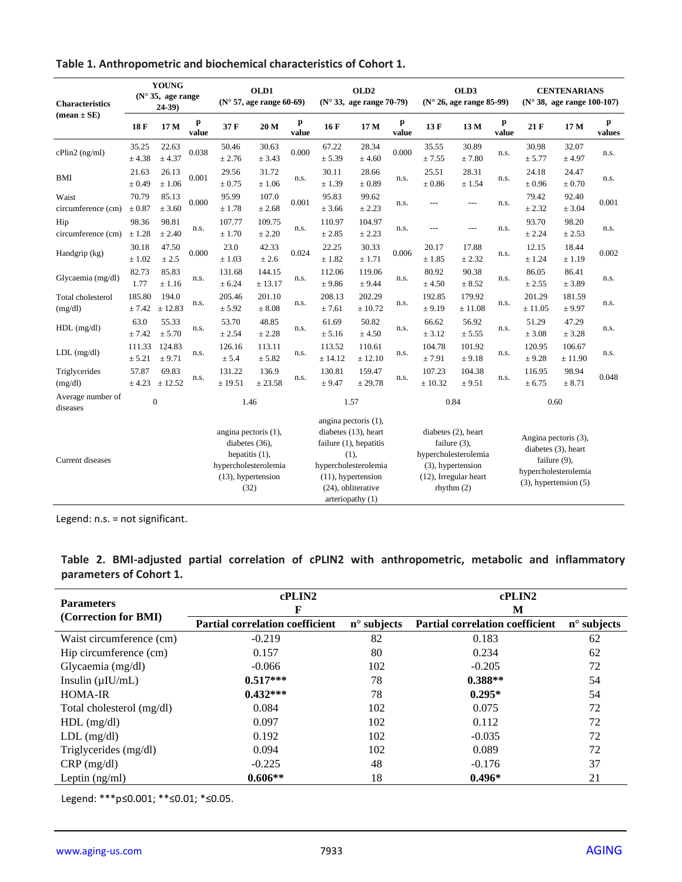| Table 1. Anthropometric and biochemical characteristics of Cohort 1. |  |
|----------------------------------------------------------------------|--|
|----------------------------------------------------------------------|--|

| <b>Characteristics</b>        | <b>YOUNG</b><br>(N° 35, age range)<br>$24-39$ |                  | OLD1<br>$(N° 57, age range 60-69)$ |                                                                                                                   | OLD <sub>2</sub><br>(N° 33, age range 70-79) |            | OLD3<br>$(N° 26, age range 85-99)$ |                                                                                                                                                                           |            | <b>CENTENARIANS</b><br>$(N° 38, age range 100-107)$                                                 |                       |            |                     |                                                                                                                   |             |
|-------------------------------|-----------------------------------------------|------------------|------------------------------------|-------------------------------------------------------------------------------------------------------------------|----------------------------------------------|------------|------------------------------------|---------------------------------------------------------------------------------------------------------------------------------------------------------------------------|------------|-----------------------------------------------------------------------------------------------------|-----------------------|------------|---------------------|-------------------------------------------------------------------------------------------------------------------|-------------|
| $mean \pm SE$                 | 18 F                                          | 17 M             | p<br>value                         | 37 F                                                                                                              | 20 M                                         | p<br>value | 16F                                | 17 M                                                                                                                                                                      | p<br>value | 13F                                                                                                 | 13 M                  | p<br>value | 21F                 | 17 M                                                                                                              | p<br>values |
| cPlin2 (ng/ml)                | 35.25<br>± 4.38                               | 22.63<br>± 4.37  | 0.038                              | 50.46<br>± 2.76                                                                                                   | 30.63<br>± 3.43                              | 0.000      | 67.22<br>± 5.39                    | 28.34<br>± 4.60                                                                                                                                                           | 0.000      | 35.55<br>± 7.55                                                                                     | 30.89<br>$\pm$ 7.80   | n.s.       | 30.98<br>± 5.77     | 32.07<br>± 4.97                                                                                                   | n.s.        |
| <b>BMI</b>                    | 21.63<br>± 0.49                               | 26.13<br>± 1.06  | 0.001                              | 29.56<br>$\pm 0.75$                                                                                               | 31.72<br>± 1.06                              | n.s.       | 30.11<br>± 1.39                    | 28.66<br>$\pm 0.89$                                                                                                                                                       | n.s.       | 25.51<br>$\pm 0.86$                                                                                 | 28.31<br>± 1.54       | n.s.       | 24.18<br>$\pm 0.96$ | 24.47<br>$\pm 0.70$                                                                                               | n.s.        |
| Waist<br>circumference (cm)   | 70.79<br>$\pm 0.87$                           | 85.13<br>± 3.60  | 0.000                              | 95.99<br>± 1.78                                                                                                   | 107.0<br>± 2.68                              | 0.001      | 95.83<br>± 3.66                    | 99.62<br>± 2.23                                                                                                                                                           | n.s.       |                                                                                                     |                       | n.s.       | 79.42<br>± 2.32     | 92.40<br>± 3.04                                                                                                   | 0.001       |
| Hip<br>circumference (cm)     | 98.36<br>± 1.28                               | 98.81<br>± 2.40  | n.s.                               | 107.77<br>± 1.70                                                                                                  | 109.75<br>± 2.20                             | n.s.       | 110.97<br>± 2.85                   | 104.97<br>± 2.23                                                                                                                                                          | n.s.       |                                                                                                     | $---$                 | n.s.       | 93.70<br>± 2.24     | 98.20<br>± 2.53                                                                                                   | n.s.        |
| Handgrip (kg)                 | 30.18<br>$\pm 1.02$                           | 47.50<br>± 2.5   | 0.000                              | 23.0<br>± 1.03                                                                                                    | 42.33<br>± 2.6                               | 0.024      | 22.25<br>± 1.82                    | 30.33<br>± 1.71                                                                                                                                                           | 0.006      | 20.17<br>± 1.85                                                                                     | 17.88<br>± 2.32       | n.s.       | 12.15<br>± 1.24     | 18.44<br>± 1.19                                                                                                   | 0.002       |
| Glycaemia (mg/dl)             | 82.73<br>1.77                                 | 85.83<br>± 1.16  | n.s.                               | 131.68<br>± 6.24                                                                                                  | 144.15<br>± 13.17                            | n.s.       | 112.06<br>± 9.86                   | 119.06<br>± 9.44                                                                                                                                                          | n.s.       | 80.92<br>± 4.50                                                                                     | 90.38<br>± 8.52       | n.s.       | 86.05<br>± 2.55     | 86.41<br>± 3.89                                                                                                   | n.s.        |
| Total cholesterol<br>(mg/dl)  | 185.80<br>± 7.42                              | 194.0<br>± 12.83 | n.s.                               | 205.46<br>± 5.92                                                                                                  | 201.10<br>$\pm$ 8.08                         | n.s.       | 208.13<br>± 7.61                   | 202.29<br>± 10.72                                                                                                                                                         | n.s.       | 192.85<br>± 9.19                                                                                    | 179.92<br>± 11.08     | n.s.       | 201.29<br>± 11.05   | 181.59<br>± 9.97                                                                                                  | n.s.        |
| $HDL$ (mg/dl)                 | 63.0<br>± 7.42                                | 55.33<br>± 5.70  | n.s.                               | 53.70<br>± 2.54                                                                                                   | 48.85<br>± 2.28                              | n.s.       | 61.69<br>± 5.16                    | 50.82<br>± 4.50                                                                                                                                                           | n.s.       | 66.62<br>± 3.12                                                                                     | 56.92<br>± 5.55       | n.s.       | 51.29<br>± 3.08     | 47.29<br>± 3.28                                                                                                   | n.s.        |
| $LDL$ (mg/dl)                 | 111.33<br>± 5.21                              | 124.83<br>± 9.71 | n.s.                               | 126.16<br>± 5.4                                                                                                   | 113.11<br>± 5.82                             | n.s.       | 113.52<br>$\pm$ 14.12              | 110.61<br>± 12.10                                                                                                                                                         | n.s.       | 104.78<br>±7.91                                                                                     | 101.92<br>± 9.18      | n.s.       | 120.95<br>± 9.28    | 106.67<br>± 11.90                                                                                                 | n.s.        |
| Triglycerides<br>(mg/dl)      | 57.87<br>± 4.23                               | 69.83<br>± 12.52 | n.s.                               | 131.22<br>± 19.51                                                                                                 | 136.9<br>± 23.58                             | n.s.       | 130.81<br>± 9.47                   | 159.47<br>± 29.78                                                                                                                                                         | n.s.       | 107.23<br>± 10.32                                                                                   | 104.38<br>± 9.51      | n.s.       | 116.95<br>± 6.75    | 98.94<br>$\pm 8.71$                                                                                               | 0.048       |
| Average number of<br>diseases |                                               | $\mathbf{0}$     |                                    | 1.46                                                                                                              |                                              |            |                                    | 1.57                                                                                                                                                                      |            | 0.84                                                                                                |                       |            |                     | 0.60                                                                                                              |             |
| Current diseases              |                                               |                  |                                    | angina pectoris (1),<br>diabetes (36),<br>hepatitis $(1)$ ,<br>hypercholesterolemia<br>(13), hypertension<br>(32) |                                              |            |                                    | angina pectoris (1),<br>diabetes (13), heart<br>failure (1), hepatitis<br>(1),<br>hypercholesterolemia<br>$(11)$ , hypertension<br>(24), obliterative<br>arteriopathy (1) |            | diabetes (2), heart<br>failure $(3)$ ,<br>hypercholesterolemia<br>(3), hypertension<br>rhythm $(2)$ | (12), Irregular heart |            |                     | Angina pectoris (3),<br>diabetes (3), heart<br>failure (9),<br>hypercholesterolemia<br>$(3)$ , hypertension $(5)$ |             |

Legend: n.s. = not significant.

| <b>Parameters</b>         | cPLIN2<br>F                            |                      | cPLIN2<br>M                            |                      |  |  |
|---------------------------|----------------------------------------|----------------------|----------------------------------------|----------------------|--|--|
| (Correction for BMI)      | <b>Partial correlation coefficient</b> | $n^{\circ}$ subjects | <b>Partial correlation coefficient</b> | $n^{\circ}$ subjects |  |  |
| Waist circumference (cm)  | $-0.219$                               | 82                   | 0.183                                  | 62                   |  |  |
| Hip circumference (cm)    | 0.157                                  | 80                   | 0.234                                  | 62                   |  |  |
| Glycaemia (mg/dl)         | $-0.066$                               | 102                  | $-0.205$                               | 72                   |  |  |
| Insulin $(\mu I U/mL)$    | $0.517***$                             | 78                   | $0.388**$                              | 54                   |  |  |
| HOMA-IR                   | $0.432***$                             | 78                   | $0.295*$                               | 54                   |  |  |
| Total cholesterol (mg/dl) | 0.084                                  | 102                  | 0.075                                  | 72                   |  |  |
| $HDL$ (mg/dl)             | 0.097                                  | 102                  | 0.112                                  | 72                   |  |  |
| $LDL$ (mg/dl)             | 0.192                                  | 102                  | $-0.035$                               | 72                   |  |  |
| Triglycerides (mg/dl)     | 0.094                                  | 102                  | 0.089                                  | 72                   |  |  |
| $CRP$ (mg/dl)             | $-0.225$                               | 48                   | $-0.176$                               | 37                   |  |  |
| Leptin (ng/ml)            | $0.606**$                              | 18                   | $0.496*$                               | 21                   |  |  |

**Table 2. BMI-adjusted partial correlation of cPLIN2 with anthropometric, metabolic and inflammatory parameters of Cohort 1.**

Legend: \*\*\*p≤0.001; \*\*≤0.01; \*≤0.05.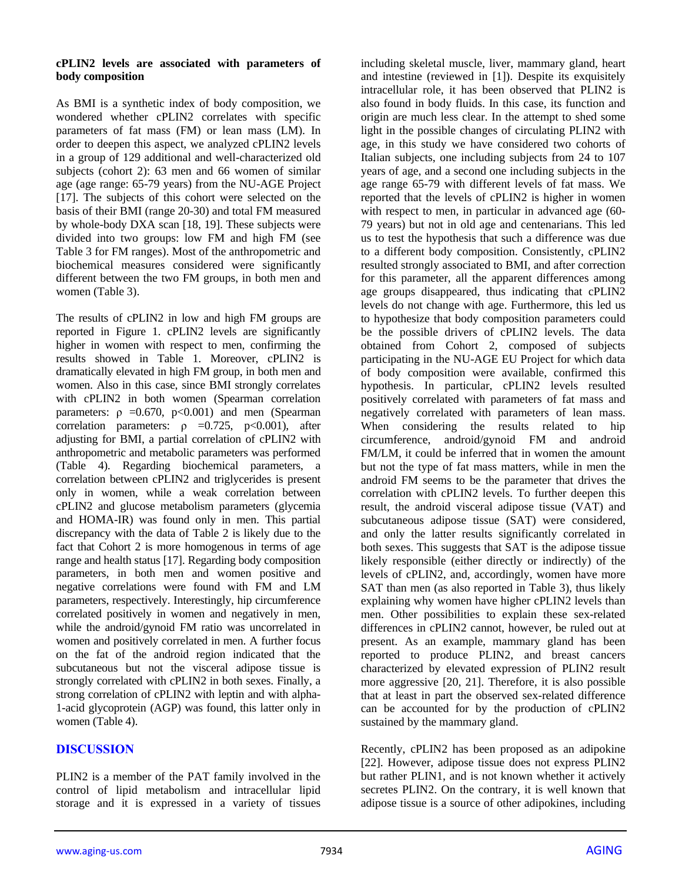#### **cPLIN2 levels are associated with parameters of body composition**

As BMI is a synthetic index of body composition, we wondered whether cPLIN2 correlates with specific parameters of fat mass (FM) or lean mass (LM). In order to deepen this aspect, we analyzed cPLIN2 levels in a group of 129 additional and well-characterized old subjects (cohort 2): 63 men and 66 women of similar age (age range: 65-79 years) from the NU-AGE Project [17]. The subjects of this cohort were selected on the basis of their BMI (range 20-30) and total FM measured by whole-body DXA scan [18, 19]. These subjects were divided into two groups: low FM and high FM (see Table 3 for FM ranges). Most of the anthropometric and biochemical measures considered were significantly different between the two FM groups, in both men and women (Table 3).

The results of cPLIN2 in low and high FM groups are reported in Figure 1. cPLIN2 levels are significantly higher in women with respect to men, confirming the results showed in Table 1. Moreover, cPLIN2 is dramatically elevated in high FM group, in both men and women. Also in this case, since BMI strongly correlates with cPLIN2 in both women (Spearman correlation parameters:  $\rho = 0.670$ ,  $p < 0.001$ ) and men (Spearman correlation parameters:  $\rho = 0.725$ , p<0.001), after adjusting for BMI, a partial correlation of cPLIN2 with anthropometric and metabolic parameters was performed (Table 4). Regarding biochemical parameters, a correlation between cPLIN2 and triglycerides is present only in women, while a weak correlation between cPLIN2 and glucose metabolism parameters (glycemia and HOMA-IR) was found only in men. This partial discrepancy with the data of Table 2 is likely due to the fact that Cohort 2 is more homogenous in terms of age range and health status [17]. Regarding body composition parameters, in both men and women positive and negative correlations were found with FM and LM parameters, respectively. Interestingly, hip circumference correlated positively in women and negatively in men, while the android/gynoid FM ratio was uncorrelated in women and positively correlated in men. A further focus on the fat of the android region indicated that the subcutaneous but not the visceral adipose tissue is strongly correlated with cPLIN2 in both sexes. Finally, a strong correlation of cPLIN2 with leptin and with alpha-1-acid glycoprotein (AGP) was found, this latter only in women (Table 4).

# **DISCUSSION**

PLIN2 is a member of the PAT family involved in the control of lipid metabolism and intracellular lipid storage and it is expressed in a variety of tissues including skeletal muscle, liver, mammary gland, heart and intestine (reviewed in [1]). Despite its exquisitely intracellular role, it has been observed that PLIN2 is also found in body fluids. In this case, its function and origin are much less clear. In the attempt to shed some light in the possible changes of circulating PLIN2 with age, in this study we have considered two cohorts of Italian subjects, one including subjects from 24 to 107 years of age, and a second one including subjects in the age range 65-79 with different levels of fat mass. We reported that the levels of cPLIN2 is higher in women with respect to men, in particular in advanced age (60- 79 years) but not in old age and centenarians. This led us to test the hypothesis that such a difference was due to a different body composition. Consistently, cPLIN2 resulted strongly associated to BMI, and after correction for this parameter, all the apparent differences among age groups disappeared, thus indicating that cPLIN2 levels do not change with age. Furthermore, this led us to hypothesize that body composition parameters could be the possible drivers of cPLIN2 levels. The data obtained from Cohort 2, composed of subjects participating in the NU-AGE EU Project for which data of body composition were available, confirmed this hypothesis. In particular, cPLIN2 levels resulted positively correlated with parameters of fat mass and negatively correlated with parameters of lean mass. When considering the results related to hip circumference, android/gynoid FM and android FM/LM, it could be inferred that in women the amount but not the type of fat mass matters, while in men the android FM seems to be the parameter that drives the correlation with cPLIN2 levels. To further deepen this result, the android visceral adipose tissue (VAT) and subcutaneous adipose tissue (SAT) were considered, and only the latter results significantly correlated in both sexes. This suggests that SAT is the adipose tissue likely responsible (either directly or indirectly) of the levels of cPLIN2, and, accordingly, women have more SAT than men (as also reported in Table 3), thus likely explaining why women have higher cPLIN2 levels than men. Other possibilities to explain these sex-related differences in cPLIN2 cannot, however, be ruled out at present. As an example, mammary gland has been reported to produce PLIN2, and breast cancers characterized by elevated expression of PLIN2 result more aggressive [20, 21]. Therefore, it is also possible that at least in part the observed sex-related difference can be accounted for by the production of cPLIN2 sustained by the mammary gland.

Recently, cPLIN2 has been proposed as an adipokine [22]. However, adipose tissue does not express PLIN2 but rather PLIN1, and is not known whether it actively secretes PLIN2. On the contrary, it is well known that adipose tissue is a source of other adipokines, including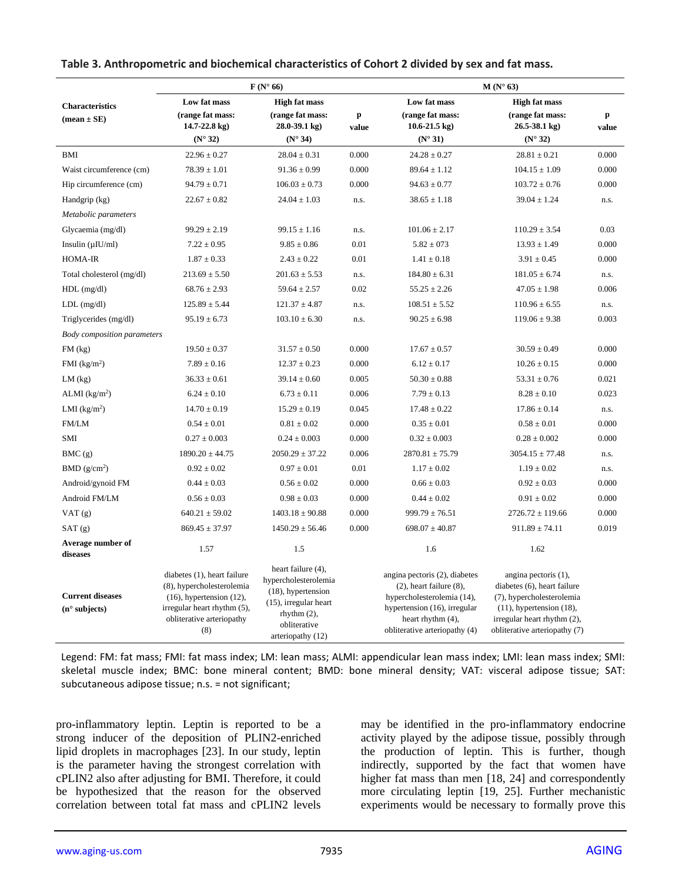|                                                   |                                                                                                                                                               | $F(N^{\circ} 66)$                                                                                                                                      |                       | $M(N^{\circ} 63)$                                                                                                                                                                  |                                                                                                                                                                                    |                       |  |
|---------------------------------------------------|---------------------------------------------------------------------------------------------------------------------------------------------------------------|--------------------------------------------------------------------------------------------------------------------------------------------------------|-----------------------|------------------------------------------------------------------------------------------------------------------------------------------------------------------------------------|------------------------------------------------------------------------------------------------------------------------------------------------------------------------------------|-----------------------|--|
| <b>Characteristics</b><br>$mean \pm SE$           | Low fat mass                                                                                                                                                  | <b>High fat mass</b>                                                                                                                                   |                       | Low fat mass                                                                                                                                                                       | <b>High fat mass</b>                                                                                                                                                               |                       |  |
|                                                   | (range fat mass:<br>$14.7 - 22.8$ kg)                                                                                                                         | (range fat mass:<br>$28.0 - 39.1$ kg)                                                                                                                  | $\mathbf{p}$<br>value | (range fat mass:<br>$10.6 - 21.5$ kg)                                                                                                                                              | (range fat mass:<br>$26.5 - 38.1$ kg)                                                                                                                                              | $\mathbf{p}$<br>value |  |
|                                                   | $(N^{\circ}32)$                                                                                                                                               | $(N^{\circ} 34)$                                                                                                                                       |                       | $(N^{\circ}31)$                                                                                                                                                                    | $(N^{\circ}32)$                                                                                                                                                                    |                       |  |
| <b>BMI</b>                                        | $22.96 \pm 0.27$                                                                                                                                              | $28.04 \pm 0.31$                                                                                                                                       | 0.000                 | $24.28 \pm 0.27$                                                                                                                                                                   | $28.81 \pm 0.21$                                                                                                                                                                   | 0.000                 |  |
| Waist circumference (cm)                          | $78.39 \pm 1.01$                                                                                                                                              | $91.36 \pm 0.99$                                                                                                                                       | 0.000                 | $89.64 \pm 1.12$                                                                                                                                                                   | $104.15 \pm 1.09$                                                                                                                                                                  | 0.000                 |  |
| Hip circumference (cm)                            | $94.79 \pm 0.71$                                                                                                                                              | $106.03 \pm 0.73$                                                                                                                                      | 0.000                 | $94.63 \pm 0.77$                                                                                                                                                                   | $103.72 \pm 0.76$                                                                                                                                                                  | 0.000                 |  |
| Handgrip (kg)                                     | $22.67 \pm 0.82$                                                                                                                                              | $24.04 \pm 1.03$                                                                                                                                       | n.s.                  | $38.65 \pm 1.18$                                                                                                                                                                   | $39.04 \pm 1.24$                                                                                                                                                                   | n.s.                  |  |
| Metabolic parameters                              |                                                                                                                                                               |                                                                                                                                                        |                       |                                                                                                                                                                                    |                                                                                                                                                                                    |                       |  |
| Glycaemia (mg/dl)                                 | $99.29 \pm 2.19$                                                                                                                                              | $99.15 \pm 1.16$                                                                                                                                       | n.s.                  | $101.06 \pm 2.17$                                                                                                                                                                  | $110.29 \pm 3.54$                                                                                                                                                                  | 0.03                  |  |
| Insulin $(\mu$ IU/ml)                             | $7.22 \pm 0.95$                                                                                                                                               | $9.85 \pm 0.86$                                                                                                                                        | 0.01                  | $5.82 \pm 0.73$                                                                                                                                                                    | $13.93 \pm 1.49$                                                                                                                                                                   | 0.000                 |  |
| HOMA-IR                                           | $1.87 \pm 0.33$                                                                                                                                               | $2.43 \pm 0.22$                                                                                                                                        | 0.01                  | $1.41 \pm 0.18$                                                                                                                                                                    | $3.91 \pm 0.45$                                                                                                                                                                    | 0.000                 |  |
| Total cholesterol (mg/dl)                         | $213.69 \pm 5.50$                                                                                                                                             | $201.63 \pm 5.53$                                                                                                                                      | n.s.                  | $184.80 \pm 6.31$                                                                                                                                                                  | $181.05 \pm 6.74$                                                                                                                                                                  | n.s.                  |  |
| $HDL$ (mg/dl)                                     | $68.76 \pm 2.93$                                                                                                                                              | $59.64 \pm 2.57$                                                                                                                                       | 0.02                  | $55.25 \pm 2.26$                                                                                                                                                                   | $47.05 \pm 1.98$                                                                                                                                                                   | 0.006                 |  |
| $LDL$ (mg/dl)                                     | $125.89 \pm 5.44$                                                                                                                                             | $121.37 \pm 4.87$                                                                                                                                      | n.s.                  | $108.51 \pm 5.52$                                                                                                                                                                  | $110.96 \pm 6.55$                                                                                                                                                                  | n.s.                  |  |
| Triglycerides (mg/dl)                             | $95.19 \pm 6.73$                                                                                                                                              | $103.10 \pm 6.30$                                                                                                                                      | n.s.                  | $90.25 \pm 6.98$                                                                                                                                                                   | $119.06 \pm 9.38$                                                                                                                                                                  | 0.003                 |  |
| <b>Body</b> composition parameters                |                                                                                                                                                               |                                                                                                                                                        |                       |                                                                                                                                                                                    |                                                                                                                                                                                    |                       |  |
| $FM$ (kg)                                         | $19.50 \pm 0.37$                                                                                                                                              | $31.57 \pm 0.50$                                                                                                                                       | 0.000                 | $17.67 \pm 0.57$                                                                                                                                                                   | $30.59 \pm 0.49$                                                                                                                                                                   | 0.000                 |  |
| FMI $(kg/m2)$                                     | $7.89 \pm 0.16$                                                                                                                                               | $12.37 \pm 0.23$                                                                                                                                       | 0.000                 | $6.12 \pm 0.17$                                                                                                                                                                    | $10.26 \pm 0.15$                                                                                                                                                                   | 0.000                 |  |
| $LM$ (kg)                                         | $36.33 \pm 0.61$                                                                                                                                              | $39.14 \pm 0.60$                                                                                                                                       | 0.005                 | $50.30 \pm 0.88$                                                                                                                                                                   | $53.31 \pm 0.76$                                                                                                                                                                   | 0.021                 |  |
| ALMI $(kg/m2)$                                    | $6.24 \pm 0.10$                                                                                                                                               | $6.73 \pm 0.11$                                                                                                                                        | 0.006                 | $7.79 \pm 0.13$                                                                                                                                                                    | $8.28 \pm 0.10$                                                                                                                                                                    | 0.023                 |  |
| LMI $(kg/m2)$                                     | $14.70 \pm 0.19$                                                                                                                                              | $15.29 \pm 0.19$                                                                                                                                       | 0.045                 | $17.48 \pm 0.22$                                                                                                                                                                   | $17.86 \pm 0.14$                                                                                                                                                                   | n.s.                  |  |
| FM/LM                                             | $0.54 \pm 0.01$                                                                                                                                               | $0.81 \pm 0.02$                                                                                                                                        | 0.000                 | $0.35 \pm 0.01$                                                                                                                                                                    | $0.58 \pm 0.01$                                                                                                                                                                    | 0.000                 |  |
| SMI                                               | $0.27 \pm 0.003$                                                                                                                                              | $0.24 \pm 0.003$                                                                                                                                       | 0.000                 | $0.32 \pm 0.003$                                                                                                                                                                   | $0.28 \pm 0.002$                                                                                                                                                                   | 0.000                 |  |
| BMC(g)                                            | $1890.20 \pm 44.75$                                                                                                                                           | $2050.29 \pm 37.22$                                                                                                                                    | 0.006                 | $2870.81 \pm 75.79$                                                                                                                                                                | $3054.15 \pm 77.48$                                                                                                                                                                | n.s.                  |  |
| BMD(g/cm <sup>2</sup> )                           | $0.92 \pm 0.02$                                                                                                                                               | $0.97 \pm 0.01$                                                                                                                                        | 0.01                  | $1.17 \pm 0.02$                                                                                                                                                                    | $1.19 \pm 0.02$                                                                                                                                                                    | n.s.                  |  |
| Android/gynoid FM                                 | $0.44 \pm 0.03$                                                                                                                                               | $0.56 \pm 0.02$                                                                                                                                        | 0.000                 | $0.66 \pm 0.03$                                                                                                                                                                    | $0.92 \pm 0.03$                                                                                                                                                                    | 0.000                 |  |
| Android FM/LM                                     | $0.56 \pm 0.03$                                                                                                                                               | $0.98 \pm 0.03$                                                                                                                                        | 0.000                 | $0.44 \pm 0.02$                                                                                                                                                                    | $0.91 \pm 0.02$                                                                                                                                                                    | 0.000                 |  |
| VAT(g)                                            | $640.21 \pm 59.02$                                                                                                                                            | $1403.18 \pm 90.88$                                                                                                                                    | 0.000                 | $999.79 \pm 76.51$                                                                                                                                                                 | $2726.72 \pm 119.66$                                                                                                                                                               | 0.000                 |  |
| SAT(g)                                            | $869.45 \pm 37.97$                                                                                                                                            | $1450.29 \pm 56.46$                                                                                                                                    | 0.000                 | $698.07 \pm 40.87$                                                                                                                                                                 | $911.89 \pm 74.11$                                                                                                                                                                 | 0.019                 |  |
| Average number of<br>diseases                     | 1.57                                                                                                                                                          | 1.5                                                                                                                                                    |                       | 1.6                                                                                                                                                                                | 1.62                                                                                                                                                                               |                       |  |
| <b>Current diseases</b><br>$(n^{\circ}$ subjects) | diabetes (1), heart failure<br>(8), hypercholesterolemia<br>$(16)$ , hypertension $(12)$ ,<br>irregular heart rhythm (5),<br>obliterative arteriopathy<br>(8) | heart failure (4),<br>hypercholesterolemia<br>$(18)$ , hypertension<br>$(15)$ , irregular heart<br>rhythm $(2)$ ,<br>obliterative<br>arteriopathy (12) |                       | angina pectoris (2), diabetes<br>$(2)$ , heart failure $(8)$ ,<br>hypercholesterolemia (14),<br>hypertension (16), irregular<br>heart rhythm (4),<br>obliterative arteriopathy (4) | angina pectoris (1),<br>diabetes (6), heart failure<br>(7), hypercholesterolemia<br>$(11)$ , hypertension $(18)$ ,<br>irregular heart rhythm (2),<br>obliterative arteriopathy (7) |                       |  |

**Table 3. Anthropometric and biochemical characteristics of Cohort 2 divided by sex and fat mass.**

Legend: FM: fat mass; FMI: fat mass index; LM: lean mass; ALMI: appendicular lean mass index; LMI: lean mass index; SMI: skeletal muscle index; BMC: bone mineral content; BMD: bone mineral density; VAT: visceral adipose tissue; SAT: subcutaneous adipose tissue; n.s. = not significant;

pro-inflammatory leptin. Leptin is reported to be a strong inducer of the deposition of PLIN2-enriched lipid droplets in macrophages [23]. In our study, leptin is the parameter having the strongest correlation with cPLIN2 also after adjusting for BMI. Therefore, it could be hypothesized that the reason for the observed correlation between total fat mass and cPLIN2 levels

may be identified in the pro-inflammatory endocrine activity played by the adipose tissue, possibly through the production of leptin. This is further, though indirectly, supported by the fact that women have higher fat mass than men [18, 24] and correspondently more circulating leptin [19, 25]. Further mechanistic experiments would be necessary to formally prove this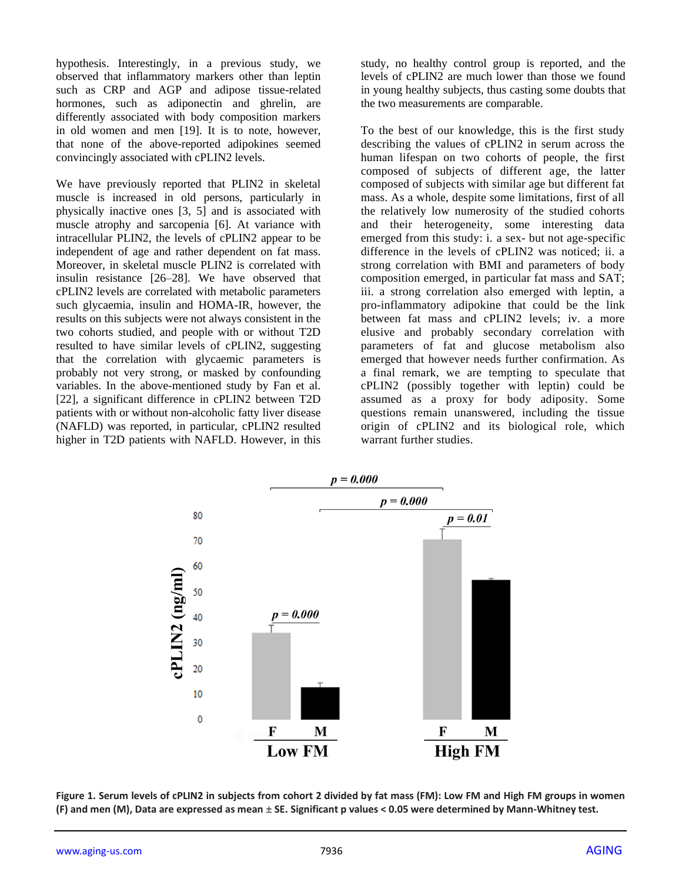hypothesis. Interestingly, in a previous study, we observed that inflammatory markers other than leptin such as CRP and AGP and adipose tissue-related hormones, such as adiponectin and ghrelin, are differently associated with body composition markers in old women and men [19]. It is to note, however, that none of the above-reported adipokines seemed convincingly associated with cPLIN2 levels.

We have previously reported that PLIN2 in skeletal muscle is increased in old persons, particularly in physically inactive ones [3, 5] and is associated with muscle atrophy and sarcopenia [6]. At variance with intracellular PLIN2, the levels of cPLIN2 appear to be independent of age and rather dependent on fat mass. Moreover, in skeletal muscle PLIN2 is correlated with insulin resistance [26–28]. We have observed that cPLIN2 levels are correlated with metabolic parameters such glycaemia, insulin and HOMA-IR, however, the results on this subjects were not always consistent in the two cohorts studied, and people with or without T2D resulted to have similar levels of cPLIN2, suggesting that the correlation with glycaemic parameters is probably not very strong, or masked by confounding variables. In the above-mentioned study by Fan et al. [22], a significant difference in cPLIN2 between T2D patients with or without non-alcoholic fatty liver disease (NAFLD) was reported, in particular, cPLIN2 resulted higher in T2D patients with NAFLD. However, in this

study, no healthy control group is reported, and the levels of cPLIN2 are much lower than those we found in young healthy subjects, thus casting some doubts that the two measurements are comparable.

To the best of our knowledge, this is the first study describing the values of cPLIN2 in serum across the human lifespan on two cohorts of people, the first composed of subjects of different age, the latter composed of subjects with similar age but different fat mass. As a whole, despite some limitations, first of all the relatively low numerosity of the studied cohorts and their heterogeneity, some interesting data emerged from this study: i. a sex- but not age-specific difference in the levels of cPLIN2 was noticed; ii. a strong correlation with BMI and parameters of body composition emerged, in particular fat mass and SAT; iii. a strong correlation also emerged with leptin, a pro-inflammatory adipokine that could be the link between fat mass and cPLIN2 levels; iv. a more elusive and probably secondary correlation with parameters of fat and glucose metabolism also emerged that however needs further confirmation. As a final remark, we are tempting to speculate that cPLIN2 (possibly together with leptin) could be assumed as a proxy for body adiposity. Some questions remain unanswered, including the tissue origin of cPLIN2 and its biological role, which warrant further studies.



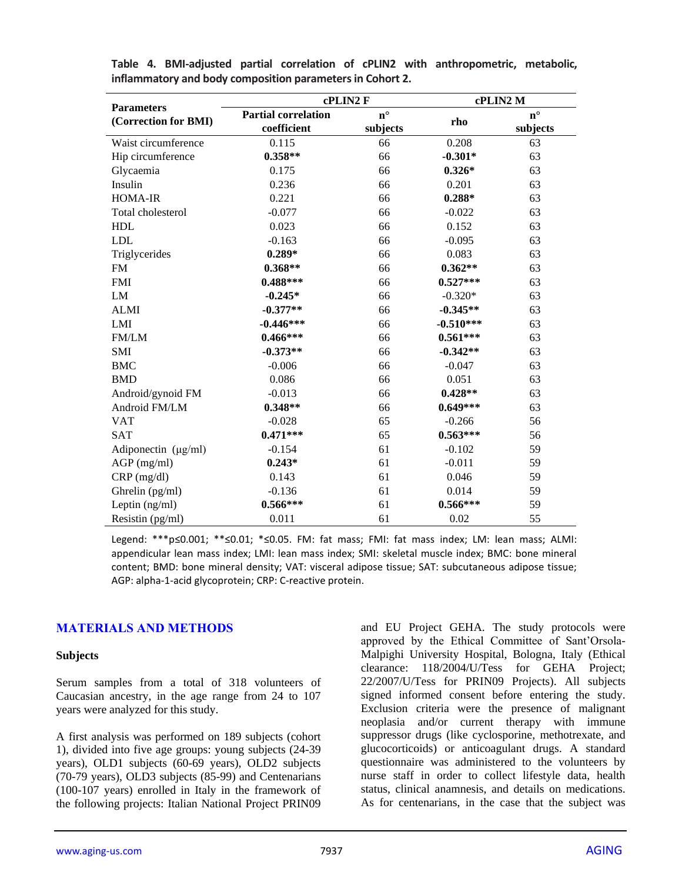| <b>Parameters</b>        | cPLIN2 F                   |             | cPLIN2 M    |             |  |  |
|--------------------------|----------------------------|-------------|-------------|-------------|--|--|
| (Correction for BMI)     | <b>Partial correlation</b> | $n^{\circ}$ | rho         | $n^{\circ}$ |  |  |
|                          | coefficient                | subjects    |             | subjects    |  |  |
| Waist circumference      | 0.115                      | 66          | 0.208       | 63          |  |  |
| Hip circumference        | $0.358**$                  | 66          | $-0.301*$   | 63          |  |  |
| Glycaemia                | 0.175                      | 66          | $0.326*$    | 63          |  |  |
| Insulin                  | 0.236                      | 66          | 0.201       | 63          |  |  |
| HOMA-IR                  | 0.221                      | 66          | $0.288*$    | 63          |  |  |
| Total cholesterol        | $-0.077$                   | 66          | $-0.022$    | 63          |  |  |
| <b>HDL</b>               | 0.023                      | 66          | 0.152       | 63          |  |  |
| <b>LDL</b>               | $-0.163$                   | 66          | $-0.095$    | 63          |  |  |
| Triglycerides            | $0.289*$                   | 66          | 0.083       | 63          |  |  |
| <b>FM</b>                | $0.368**$                  | 66          | $0.362**$   | 63          |  |  |
| <b>FMI</b>               | $0.488***$                 | 66          | $0.527***$  | 63          |  |  |
| LM                       | $-0.245*$                  | 66          | $-0.320*$   | 63          |  |  |
| <b>ALMI</b>              | $-0.377**$                 | 66          | $-0.345**$  | 63          |  |  |
| LMI                      | $-0.446***$                | 66          | $-0.510***$ | 63          |  |  |
| FM/LM                    | $0.466***$                 | 66          | $0.561***$  | 63          |  |  |
| SMI                      | $-0.373**$                 | 66          | $-0.342**$  | 63          |  |  |
| <b>BMC</b>               | $-0.006$                   | 66          | $-0.047$    | 63          |  |  |
| <b>BMD</b>               | 0.086                      | 66          | 0.051       | 63          |  |  |
| Android/gynoid FM        | $-0.013$                   | 66          | $0.428**$   | 63          |  |  |
| Android FM/LM            | $0.348**$                  | 66          | $0.649***$  | 63          |  |  |
| <b>VAT</b>               | $-0.028$                   | 65          | $-0.266$    | 56          |  |  |
| <b>SAT</b>               | $0.471***$                 | 65          | $0.563***$  | 56          |  |  |
| Adiponectin $(\mu g/ml)$ | $-0.154$                   | 61          | $-0.102$    | 59          |  |  |
| $AGP$ (mg/ml)            | $0.243*$                   | 61          | $-0.011$    | 59          |  |  |
| $CRP$ (mg/dl)            | 0.143                      | 61          | 0.046       | 59          |  |  |
| Ghrelin (pg/ml)          | $-0.136$                   | 61          | 0.014       | 59          |  |  |
| Leptin (ng/ml)           | $0.566***$                 | 61          | $0.566***$  | 59          |  |  |
| Resistin (pg/ml)         | 0.011                      | 61          | 0.02        | 55          |  |  |

**Table 4. BMI-adjusted partial correlation of cPLIN2 with anthropometric, metabolic, inflammatory and body composition parameters in Cohort 2.**

Legend: \*\*\*p≤0.001; \*\*≤0.01; \*≤0.05. FM: fat mass; FMI: fat mass index; LM: lean mass; ALMI: appendicular lean mass index; LMI: lean mass index; SMI: skeletal muscle index; BMC: bone mineral content; BMD: bone mineral density; VAT: visceral adipose tissue; SAT: subcutaneous adipose tissue; AGP: alpha-1-acid glycoprotein; CRP: C-reactive protein.

#### **MATERIALS AND METHODS**

#### **Subjects**

Serum samples from a total of 318 volunteers of Caucasian ancestry, in the age range from 24 to 107 years were analyzed for this study.

A first analysis was performed on 189 subjects (cohort 1), divided into five age groups: young subjects (24-39 years), OLD1 subjects (60-69 years), OLD2 subjects (70-79 years), OLD3 subjects (85-99) and Centenarians (100-107 years) enrolled in Italy in the framework of the following projects: Italian National Project PRIN09 and EU Project GEHA. The study protocols were approved by the Ethical Committee of Sant'Orsola-Malpighi University Hospital, Bologna, Italy (Ethical clearance: 118/2004/U/Tess for GEHA Project; 22/2007/U/Tess for PRIN09 Projects). All subjects signed informed consent before entering the study. Exclusion criteria were the presence of malignant neoplasia and/or current therapy with immune suppressor drugs (like cyclosporine, methotrexate, and glucocorticoids) or anticoagulant drugs. A standard questionnaire was administered to the volunteers by nurse staff in order to collect lifestyle data, health status, clinical anamnesis, and details on medications. As for centenarians, in the case that the subject was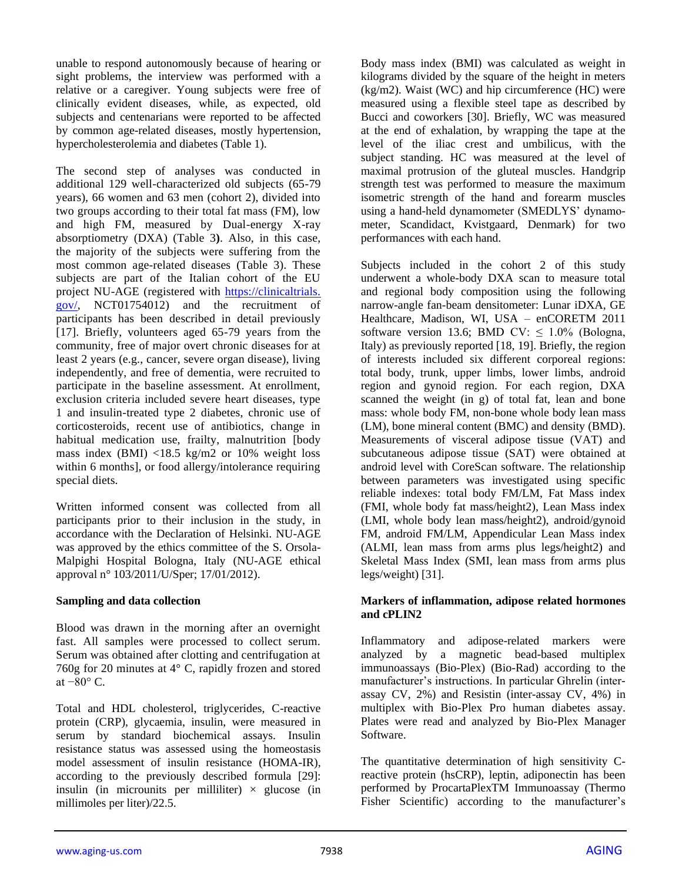unable to respond autonomously because of hearing or sight problems, the interview was performed with a relative or a caregiver. Young subjects were free of clinically evident diseases, while, as expected, old subjects and centenarians were reported to be affected by common age-related diseases, mostly hypertension, hypercholesterolemia and diabetes (Table 1).

The second step of analyses was conducted in additional 129 well-characterized old subjects (65-79 years), 66 women and 63 men (cohort 2), divided into two groups according to their total fat mass (FM), low and high FM, measured by Dual-energy X-ray absorptiometry (DXA) (Table 3**)**. Also, in this case, the majority of the subjects were suffering from the most common age-related diseases (Table 3). These subjects are part of the Italian cohort of the EU project NU-AGE (registered with [https://clinicaltrials.](https://clinicaltrials.gov/) [gov/,](https://clinicaltrials.gov/) NCT01754012) and the recruitment of participants has been described in detail previously [17]. Briefly, volunteers aged 65-79 years from the community, free of major overt chronic diseases for at least 2 years (e.g., cancer, severe organ disease), living independently, and free of dementia, were recruited to participate in the baseline assessment. At enrollment, exclusion criteria included severe heart diseases, type 1 and insulin-treated type 2 diabetes, chronic use of corticosteroids, recent use of antibiotics, change in habitual medication use, frailty, malnutrition [body mass index (BMI) <18.5 kg/m2 or 10% weight loss within 6 months], or food allergy/intolerance requiring special diets.

Written informed consent was collected from all participants prior to their inclusion in the study, in accordance with the Declaration of Helsinki. NU-AGE was approved by the ethics committee of the S. Orsola-Malpighi Hospital Bologna, Italy (NU-AGE ethical approval n° 103/2011/U/Sper; 17/01/2012).

#### **Sampling and data collection**

Blood was drawn in the morning after an overnight fast. All samples were processed to collect serum. Serum was obtained after clotting and centrifugation at 760g for 20 minutes at 4° C, rapidly frozen and stored at  $-80^\circ$  C.

Total and HDL cholesterol, triglycerides, C-reactive protein (CRP), glycaemia, insulin, were measured in serum by standard biochemical assays. Insulin resistance status was assessed using the homeostasis model assessment of insulin resistance (HOMA-IR), according to the previously described formula [29]: insulin (in microunits per milliliter)  $\times$  glucose (in millimoles per liter)/22.5.

Body mass index (BMI) was calculated as weight in kilograms divided by the square of the height in meters (kg/m2). Waist (WC) and hip circumference (HC) were measured using a flexible steel tape as described by Bucci and coworkers [30]. Briefly, WC was measured at the end of exhalation, by wrapping the tape at the level of the iliac crest and umbilicus, with the subject standing. HC was measured at the level of maximal protrusion of the gluteal muscles. Handgrip strength test was performed to measure the maximum isometric strength of the hand and forearm muscles using a hand-held dynamometer (SMEDLYS' dynamometer, Scandidact, Kvistgaard, Denmark) for two performances with each hand.

Subjects included in the cohort 2 of this study underwent a whole-body DXA scan to measure total and regional body composition using the following narrow-angle fan-beam densitometer: Lunar iDXA, GE Healthcare, Madison, WI, USA – enCORETM 2011 software version 13.6; BMD CV:  $\leq 1.0\%$  (Bologna, Italy) as previously reported [18, 19]. Briefly, the region of interests included six different corporeal regions: total body, trunk, upper limbs, lower limbs, android region and gynoid region. For each region, DXA scanned the weight (in g) of total fat, lean and bone mass: whole body FM, non-bone whole body lean mass (LM), bone mineral content (BMC) and density (BMD). Measurements of visceral adipose tissue (VAT) and subcutaneous adipose tissue (SAT) were obtained at android level with CoreScan software. The relationship between parameters was investigated using specific reliable indexes: total body FM/LM, Fat Mass index (FMI, whole body fat mass/height2), Lean Mass index (LMI, whole body lean mass/height2), android/gynoid FM, android FM/LM, Appendicular Lean Mass index (ALMI, lean mass from arms plus legs/height2) and Skeletal Mass Index (SMI, lean mass from arms plus legs/weight) [31].

#### **Markers of inflammation, adipose related hormones and cPLIN2**

Inflammatory and adipose-related markers were analyzed by a magnetic bead-based multiplex immunoassays (Bio-Plex) (Bio-Rad) according to the manufacturer's instructions. In particular Ghrelin (interassay CV, 2%) and Resistin (inter-assay CV, 4%) in multiplex with Bio-Plex Pro human diabetes assay. Plates were read and analyzed by Bio-Plex Manager Software.

The quantitative determination of high sensitivity Creactive protein (hsCRP), leptin, adiponectin has been performed by ProcartaPlexTM Immunoassay (Thermo Fisher Scientific) according to the manufacturer's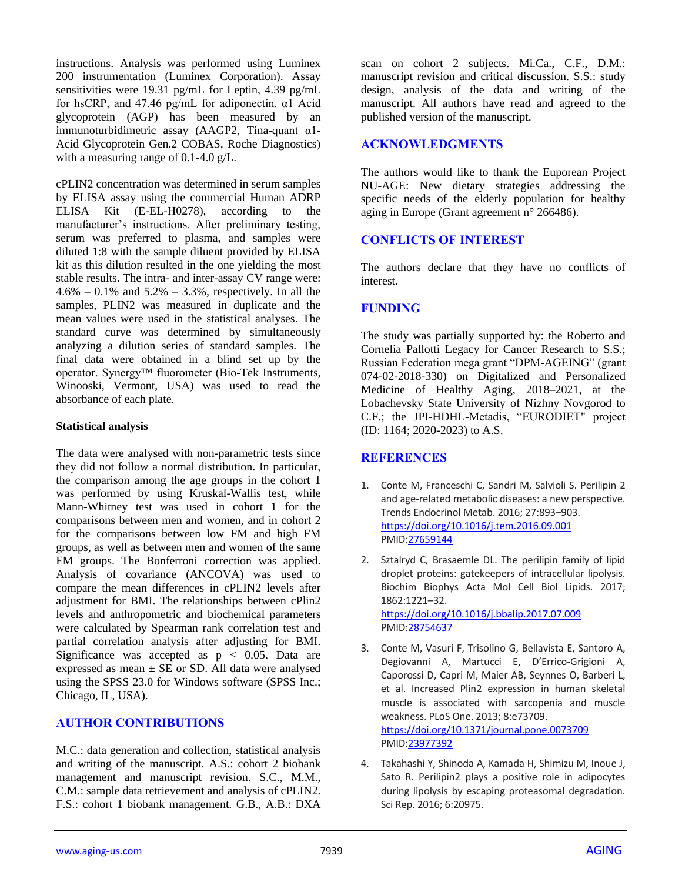instructions. Analysis was performed using Luminex 200 instrumentation (Luminex Corporation). Assay sensitivities were 19.31 pg/mL for Leptin, 4.39 pg/mL for hsCRP, and 47.46 pg/mL for adiponectin. α1 Acid glycoprotein (AGP) has been measured by an immunoturbidimetric assay (AAGP2, Tina-quant α1- Acid Glycoprotein Gen.2 COBAS, Roche Diagnostics) with a measuring range of 0.1-4.0 g/L.

cPLIN2 concentration was determined in serum samples by ELISA assay using the commercial Human ADRP ELISA Kit (E-EL-H0278), according to the manufacturer's instructions. After preliminary testing, serum was preferred to plasma, and samples were diluted 1:8 with the sample diluent provided by ELISA kit as this dilution resulted in the one yielding the most stable results. The intra- and inter-assay CV range were:  $4.6\% - 0.1\%$  and  $5.2\% - 3.3\%$ , respectively. In all the samples, PLIN2 was measured in duplicate and the mean values were used in the statistical analyses. The standard curve was determined by simultaneously analyzing a dilution series of standard samples. The final data were obtained in a blind set up by the operator. Synergy™ fluorometer (Bio-Tek Instruments, Winooski, Vermont, USA) was used to read the absorbance of each plate.

## **Statistical analysis**

The data were analysed with non-parametric tests since they did not follow a normal distribution. In particular, the comparison among the age groups in the cohort 1 was performed by using Kruskal-Wallis test, while Mann-Whitney test was used in cohort 1 for the comparisons between men and women, and in cohort 2 for the comparisons between low FM and high FM groups, as well as between men and women of the same FM groups. The Bonferroni correction was applied. Analysis of covariance (ANCOVA) was used to compare the mean differences in cPLIN2 levels after adjustment for BMI. The relationships between cPlin2 levels and anthropometric and biochemical parameters were calculated by Spearman rank correlation test and partial correlation analysis after adjusting for BMI. Significance was accepted as  $p < 0.05$ . Data are expressed as mean  $\pm$  SE or SD. All data were analysed using the SPSS 23.0 for Windows software (SPSS Inc.; Chicago, IL, USA).

# **AUTHOR CONTRIBUTIONS**

M.C.: data generation and collection, statistical analysis and writing of the manuscript. A.S.: cohort 2 biobank management and manuscript revision. S.C., M.M., C.M.: sample data retrievement and analysis of cPLIN2. F.S.: cohort 1 biobank management. G.B., A.B.: DXA

scan on cohort 2 subjects. Mi.Ca., C.F., D.M.: manuscript revision and critical discussion. S.S.: study design, analysis of the data and writing of the manuscript. All authors have read and agreed to the published version of the manuscript.

## **ACKNOWLEDGMENTS**

The authors would like to thank the Euporean Project NU-AGE: New dietary strategies addressing the specific needs of the elderly population for healthy aging in Europe (Grant agreement n° 266486).

# **CONFLICTS OF INTEREST**

The authors declare that they have no conflicts of interest.

## **FUNDING**

The study was partially supported by: the Roberto and Cornelia Pallotti Legacy for Cancer Research to S.S.; Russian Federation mega grant "DPM-AGEING" (grant 074-02-2018-330) on Digitalized and Personalized Medicine of Healthy Aging, 2018–2021, at the Lobachevsky State University of Nizhny Novgorod to C.F.; the JPI-HDHL-Metadis, "EURODIET" project (ID: 1164; 2020-2023) to A.S.

# **REFERENCES**

- 1. Conte M, Franceschi C, Sandri M, Salvioli S. Perilipin 2 and age-related metabolic diseases: a new perspective. Trends Endocrinol Metab. 2016; 27:893–903. <https://doi.org/10.1016/j.tem.2016.09.001> PMI[D:27659144](https://pubmed.ncbi.nlm.nih.gov/27659144)
- 2. Sztalryd C, Brasaemle DL. The perilipin family of lipid droplet proteins: gatekeepers of intracellular lipolysis. Biochim Biophys Acta Mol Cell Biol Lipids. 2017; 1862:1221–32. <https://doi.org/10.1016/j.bbalip.2017.07.009> PMI[D:28754637](https://pubmed.ncbi.nlm.nih.gov/28754637)
- 3. Conte M, Vasuri F, Trisolino G, Bellavista E, Santoro A, Degiovanni A, Martucci E, D'Errico-Grigioni A, Caporossi D, Capri M, Maier AB, Seynnes O, Barberi L, et al. Increased Plin2 expression in human skeletal muscle is associated with sarcopenia and muscle weakness. PLoS One. 2013; 8:e73709. <https://doi.org/10.1371/journal.pone.0073709> PMI[D:23977392](https://pubmed.ncbi.nlm.nih.gov/23977392)
- 4. Takahashi Y, Shinoda A, Kamada H, Shimizu M, Inoue J, Sato R. Perilipin2 plays a positive role in adipocytes during lipolysis by escaping proteasomal degradation. Sci Rep. 2016; 6:20975.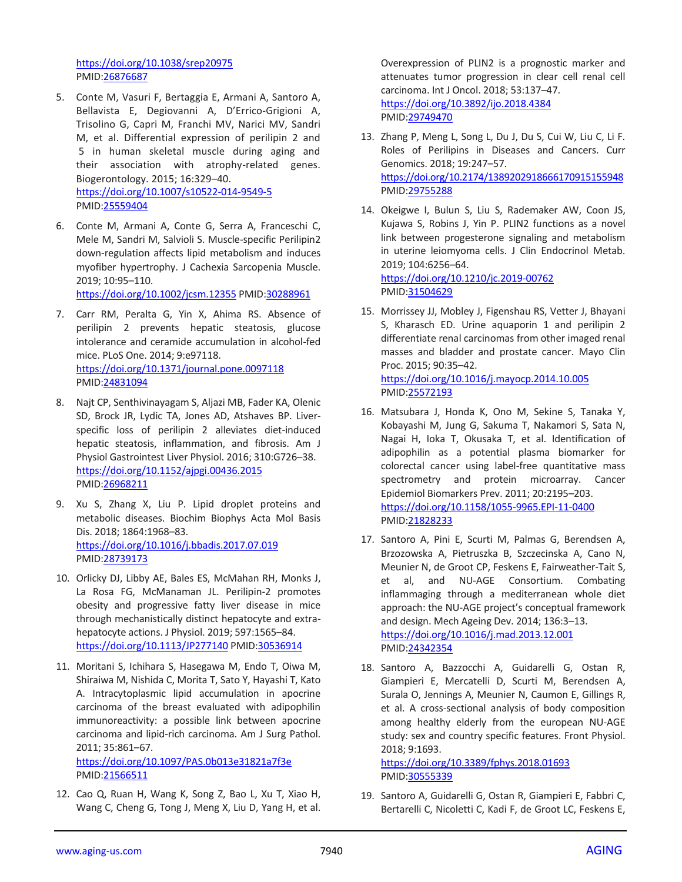<https://doi.org/10.1038/srep20975> PMID[:26876687](https://pubmed.ncbi.nlm.nih.gov/26876687)

- 5. Conte M, Vasuri F, Bertaggia E, Armani A, Santoro A, Bellavista E, Degiovanni A, D'Errico-Grigioni A, Trisolino G, Capri M, Franchi MV, Narici MV, Sandri M, et al. Differential expression of perilipin 2 and 5 in human skeletal muscle during aging and their association with atrophy-related genes. Biogerontology. 2015; 16:329–40. <https://doi.org/10.1007/s10522-014-9549-5> PMID[:25559404](https://pubmed.ncbi.nlm.nih.gov/25559404)
- 6. Conte M, Armani A, Conte G, Serra A, Franceschi C, Mele M, Sandri M, Salvioli S. Muscle-specific Perilipin2 down-regulation affects lipid metabolism and induces myofiber hypertrophy. J Cachexia Sarcopenia Muscle. 2019; 10:95–110.

<https://doi.org/10.1002/jcsm.12355> PMID[:30288961](https://pubmed.ncbi.nlm.nih.gov/30288961)

- 7. Carr RM, Peralta G, Yin X, Ahima RS. Absence of perilipin 2 prevents hepatic steatosis, glucose intolerance and ceramide accumulation in alcohol-fed mice. PLoS One. 2014; 9:e97118. <https://doi.org/10.1371/journal.pone.0097118> PMID[:24831094](https://pubmed.ncbi.nlm.nih.gov/24831094)
- 8. Najt CP, Senthivinayagam S, Aljazi MB, Fader KA, Olenic SD, Brock JR, Lydic TA, Jones AD, Atshaves BP. Liverspecific loss of perilipin 2 alleviates diet-induced hepatic steatosis, inflammation, and fibrosis. Am J Physiol Gastrointest Liver Physiol. 2016; 310:G726–38. <https://doi.org/10.1152/ajpgi.00436.2015> PMID[:26968211](https://pubmed.ncbi.nlm.nih.gov/26968211)
- 9. Xu S, Zhang X, Liu P. Lipid droplet proteins and metabolic diseases. Biochim Biophys Acta Mol Basis Dis. 2018; 1864:1968–83. <https://doi.org/10.1016/j.bbadis.2017.07.019> PMID[:28739173](https://pubmed.ncbi.nlm.nih.gov/28739173)
- 10. Orlicky DJ, Libby AE, Bales ES, McMahan RH, Monks J, La Rosa FG, McManaman JL. Perilipin-2 promotes obesity and progressive fatty liver disease in mice through mechanistically distinct hepatocyte and extrahepatocyte actions. J Physiol. 2019; 597:1565–84. <https://doi.org/10.1113/JP277140> PMI[D:30536914](https://pubmed.ncbi.nlm.nih.gov/30536914)
- 11. Moritani S, Ichihara S, Hasegawa M, Endo T, Oiwa M, Shiraiwa M, Nishida C, Morita T, Sato Y, Hayashi T, Kato A. Intracytoplasmic lipid accumulation in apocrine carcinoma of the breast evaluated with adipophilin immunoreactivity: a possible link between apocrine carcinoma and lipid-rich carcinoma. Am J Surg Pathol. 2011; 35:861–67.

<https://doi.org/10.1097/PAS.0b013e31821a7f3e> PMID[:21566511](https://pubmed.ncbi.nlm.nih.gov/21566511)

12. Cao Q, Ruan H, Wang K, Song Z, Bao L, Xu T, Xiao H, Wang C, Cheng G, Tong J, Meng X, Liu D, Yang H, et al. Overexpression of PLIN2 is a prognostic marker and attenuates tumor progression in clear cell renal cell carcinoma. Int J Oncol. 2018; 53:137–47. <https://doi.org/10.3892/ijo.2018.4384> PMI[D:29749470](https://pubmed.ncbi.nlm.nih.gov/29749470)

- 13. Zhang P, Meng L, Song L, Du J, Du S, Cui W, Liu C, Li F. Roles of Perilipins in Diseases and Cancers. Curr Genomics. 2018; 19:247–57. <https://doi.org/10.2174/1389202918666170915155948> PMI[D:29755288](https://pubmed.ncbi.nlm.nih.gov/29755288)
- 14. Okeigwe I, Bulun S, Liu S, Rademaker AW, Coon JS, Kujawa S, Robins J, Yin P. PLIN2 functions as a novel link between progesterone signaling and metabolism in uterine leiomyoma cells. J Clin Endocrinol Metab. 2019; 104:6256–64. <https://doi.org/10.1210/jc.2019-00762> PMI[D:31504629](https://pubmed.ncbi.nlm.nih.gov/31504629)
- 15. Morrissey JJ, Mobley J, Figenshau RS, Vetter J, Bhayani S, Kharasch ED. Urine aquaporin 1 and perilipin 2 differentiate renal carcinomas from other imaged renal masses and bladder and prostate cancer. Mayo Clin Proc. 2015; 90:35–42. <https://doi.org/10.1016/j.mayocp.2014.10.005> PMI[D:25572193](https://pubmed.ncbi.nlm.nih.gov/25572193)
- 16. Matsubara J, Honda K, Ono M, Sekine S, Tanaka Y, Kobayashi M, Jung G, Sakuma T, Nakamori S, Sata N, Nagai H, Ioka T, Okusaka T, et al. Identification of adipophilin as a potential plasma biomarker for colorectal cancer using label-free quantitative mass spectrometry and protein microarray. Cancer Epidemiol Biomarkers Prev. 2011; 20:2195–203. <https://doi.org/10.1158/1055-9965.EPI-11-0400> PMI[D:21828233](https://pubmed.ncbi.nlm.nih.gov/21828233)
- 17. Santoro A, Pini E, Scurti M, Palmas G, Berendsen A, Brzozowska A, Pietruszka B, Szczecinska A, Cano N, Meunier N, de Groot CP, Feskens E, Fairweather-Tait S, et al, and NU-AGE Consortium. Combating inflammaging through a mediterranean whole diet approach: the NU-AGE project's conceptual framework and design. Mech Ageing Dev. 2014; 136:3–13. <https://doi.org/10.1016/j.mad.2013.12.001> PMI[D:24342354](https://pubmed.ncbi.nlm.nih.gov/24342354)
- 18. Santoro A, Bazzocchi A, Guidarelli G, Ostan R, Giampieri E, Mercatelli D, Scurti M, Berendsen A, Surala O, Jennings A, Meunier N, Caumon E, Gillings R, et al. A cross-sectional analysis of body composition among healthy elderly from the european NU-AGE study: sex and country specific features. Front Physiol. 2018; 9:1693.

<https://doi.org/10.3389/fphys.2018.01693> PMI[D:30555339](https://pubmed.ncbi.nlm.nih.gov/30555339)

19. Santoro A, Guidarelli G, Ostan R, Giampieri E, Fabbri C, Bertarelli C, Nicoletti C, Kadi F, de Groot LC, Feskens E,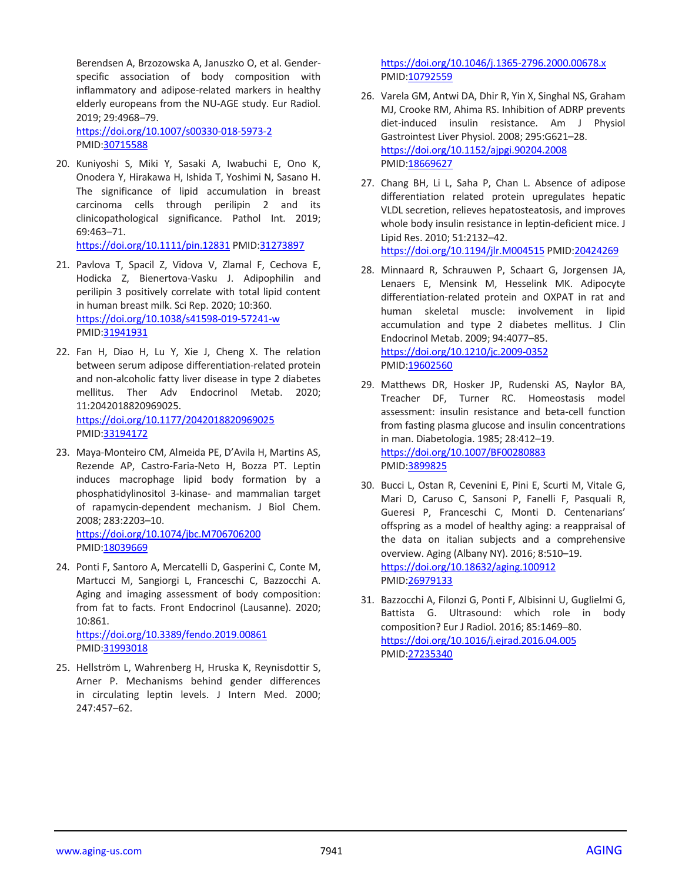Berendsen A, Brzozowska A, Januszko O, et al. Genderspecific association of body composition with inflammatory and adipose-related markers in healthy elderly europeans from the NU-AGE study. Eur Radiol. 2019; 29:4968–79. <https://doi.org/10.1007/s00330-018-5973-2>

PMID[:30715588](https://pubmed.ncbi.nlm.nih.gov/30715588)

20. Kuniyoshi S, Miki Y, Sasaki A, Iwabuchi E, Ono K, Onodera Y, Hirakawa H, Ishida T, Yoshimi N, Sasano H. The significance of lipid accumulation in breast carcinoma cells through perilipin 2 and its clinicopathological significance. Pathol Int. 2019; 69:463–71.

<https://doi.org/10.1111/pin.12831> PMID[:31273897](https://pubmed.ncbi.nlm.nih.gov/31273897)

- 21. Pavlova T, Spacil Z, Vidova V, Zlamal F, Cechova E, Hodicka Z, Bienertova-Vasku J. Adipophilin and perilipin 3 positively correlate with total lipid content in human breast milk. Sci Rep. 2020; 10:360. <https://doi.org/10.1038/s41598-019-57241-w> PMID[:31941931](https://pubmed.ncbi.nlm.nih.gov/31941931)
- 22. Fan H, Diao H, Lu Y, Xie J, Cheng X. The relation between serum adipose differentiation-related protein and non-alcoholic fatty liver disease in type 2 diabetes mellitus. Ther Adv Endocrinol Metab. 2020; 11:2042018820969025. <https://doi.org/10.1177/2042018820969025> PMID[:33194172](https://pubmed.ncbi.nlm.nih.gov/33194172)
- 23. Maya-Monteiro CM, Almeida PE, D'Avila H, Martins AS, Rezende AP, Castro-Faria-Neto H, Bozza PT. Leptin induces macrophage lipid body formation by a phosphatidylinositol 3-kinase- and mammalian target of rapamycin-dependent mechanism. J Biol Chem. 2008; 283:2203–10. <https://doi.org/10.1074/jbc.M706706200> PMID[:18039669](https://pubmed.ncbi.nlm.nih.gov/18039669)
- 24. Ponti F, Santoro A, Mercatelli D, Gasperini C, Conte M, Martucci M, Sangiorgi L, Franceschi C, Bazzocchi A. Aging and imaging assessment of body composition: from fat to facts. Front Endocrinol (Lausanne). 2020; 10:861.

<https://doi.org/10.3389/fendo.2019.00861> PMID[:31993018](https://pubmed.ncbi.nlm.nih.gov/31993018)

25. Hellström L, Wahrenberg H, Hruska K, Reynisdottir S, Arner P. Mechanisms behind gender differences in circulating leptin levels. J Intern Med. 2000; 247:457–62.

<https://doi.org/10.1046/j.1365-2796.2000.00678.x> PMI[D:10792559](https://pubmed.ncbi.nlm.nih.gov/10792559)

- 26. Varela GM, Antwi DA, Dhir R, Yin X, Singhal NS, Graham MJ, Crooke RM, Ahima RS. Inhibition of ADRP prevents diet-induced insulin resistance. Am J Physiol Gastrointest Liver Physiol. 2008; 295:G621–28. <https://doi.org/10.1152/ajpgi.90204.2008> PMI[D:18669627](https://pubmed.ncbi.nlm.nih.gov/18669627)
- 27. Chang BH, Li L, Saha P, Chan L. Absence of adipose differentiation related protein upregulates hepatic VLDL secretion, relieves hepatosteatosis, and improves whole body insulin resistance in leptin-deficient mice. J Lipid Res. 2010; 51:2132–42. <https://doi.org/10.1194/jlr.M004515> PMID[:20424269](https://pubmed.ncbi.nlm.nih.gov/20424269)
- 28. Minnaard R, Schrauwen P, Schaart G, Jorgensen JA, Lenaers E, Mensink M, Hesselink MK. Adipocyte differentiation-related protein and OXPAT in rat and human skeletal muscle: involvement in lipid accumulation and type 2 diabetes mellitus. J Clin Endocrinol Metab. 2009; 94:4077–85. <https://doi.org/10.1210/jc.2009-0352> PMI[D:19602560](https://pubmed.ncbi.nlm.nih.gov/19602560)
- 29. Matthews DR, Hosker JP, Rudenski AS, Naylor BA, Treacher DF, Turner RC. Homeostasis model assessment: insulin resistance and beta-cell function from fasting plasma glucose and insulin concentrations in man. Diabetologia. 1985; 28:412–19. <https://doi.org/10.1007/BF00280883> PMI[D:3899825](https://pubmed.ncbi.nlm.nih.gov/3899825)
- 30. Bucci L, Ostan R, Cevenini E, Pini E, Scurti M, Vitale G, Mari D, Caruso C, Sansoni P, Fanelli F, Pasquali R, Gueresi P, Franceschi C, Monti D. Centenarians' offspring as a model of healthy aging: a reappraisal of the data on italian subjects and a comprehensive overview. Aging (Albany NY). 2016; 8:510–19. <https://doi.org/10.18632/aging.100912> PMI[D:26979133](https://pubmed.ncbi.nlm.nih.gov/26979133)
- 31. Bazzocchi A, Filonzi G, Ponti F, Albisinni U, Guglielmi G, Battista G. Ultrasound: which role in body composition? Eur J Radiol. 2016; 85:1469–80. <https://doi.org/10.1016/j.ejrad.2016.04.005> PMI[D:27235340](https://pubmed.ncbi.nlm.nih.gov/27235340)